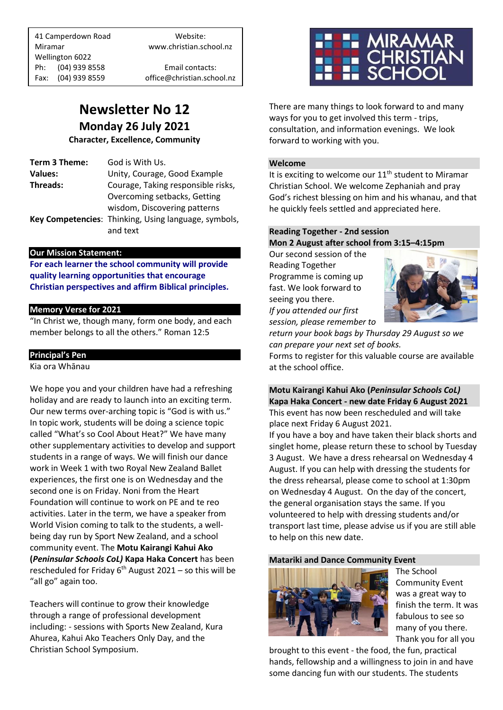41 Camperdown Road Website: Miramar www.christian.school.nz Wellington 6022 Ph: (04) 939 8558 Email contacts:

Fax: (04) 939 8559 office@christian.school.nz

# **Newsletter No 12 Monday 26 July 2021**

**Character, Excellence, Community**

| Term 3 Theme:  | God is With Us.                                      |
|----------------|------------------------------------------------------|
| <b>Values:</b> | Unity, Courage, Good Example                         |
| Threads:       | Courage, Taking responsible risks,                   |
|                | Overcoming setbacks, Getting                         |
|                | wisdom, Discovering patterns                         |
|                | Key Competencies: Thinking, Using language, symbols, |
|                | and text                                             |
|                |                                                      |

### **Our Mission Statement:**

**For each learner the school community will provide quality learning opportunities that encourage Christian perspectives and affirm Biblical principles***.*

### **Memory Verse for 2021**

"In Christ we, though many, form one body, and each member belongs to all the others." Roman 12:5

### **Principal's Pen**

Kia ora Whānau

We hope you and your children have had a refreshing holiday and are ready to launch into an exciting term. Our new terms over-arching topic is "God is with us." In topic work, students will be doing a science topic called "What's so Cool About Heat?" We have many other supplementary activities to develop and support students in a range of ways. We will finish our dance work in Week 1 with two Royal New Zealand Ballet experiences, the first one is on Wednesday and the second one is on Friday. Noni from the Heart Foundation will continue to work on PE and te reo activities. Later in the term, we have a speaker from World Vision coming to talk to the students, a wellbeing day run by Sport New Zealand, and a school community event. The **Motu Kairangi Kahui Ako (***Peninsular Schools CoL)* **Kapa Haka Concert** has been rescheduled for Friday 6<sup>th</sup> August 2021 – so this will be "all go" again too.

Teachers will continue to grow their knowledge through a range of professional development including: - sessions with Sports New Zealand, Kura Ahurea, Kahui Ako Teachers Only Day, and the Christian School Symposium.



There are many things to look forward to and many ways for you to get involved this term - trips, consultation, and information evenings. We look forward to working with you.

### **Welcome**

It is exciting to welcome our  $11<sup>th</sup>$  student to Miramar Christian School. We welcome Zephaniah and pray God's richest blessing on him and his whanau, and that he quickly feels settled and appreciated here.

### **Reading Together - 2nd session Mon 2 August after school from 3:15–4:15pm**

Our second session of the Reading Together Programme is coming up fast. We look forward to seeing you there. *If you attended our first session, please remember to* 



*return your book bags by Thursday 29 August so we can prepare your next set of books.* 

Forms to register for this valuable course are available at the school office.

### **Motu Kairangi Kahui Ako (***Peninsular Schools CoL)* **Kapa Haka Concert - new date Friday 6 August 2021** This event has now been rescheduled and will take place next Friday 6 August 2021.

If you have a boy and have taken their black shorts and singlet home, please return these to school by Tuesday 3 August. We have a dress rehearsal on Wednesday 4 August. If you can help with dressing the students for the dress rehearsal, please come to school at 1:30pm on Wednesday 4 August. On the day of the concert, the general organisation stays the same. If you volunteered to help with dressing students and/or transport last time, please advise us if you are still able to help on this new date.

### **Matariki and Dance Community Event**



The School Community Event was a great way to finish the term. It was fabulous to see so many of you there. Thank you for all you

brought to this event - the food, the fun, practical hands, fellowship and a willingness to join in and have some dancing fun with our students. The students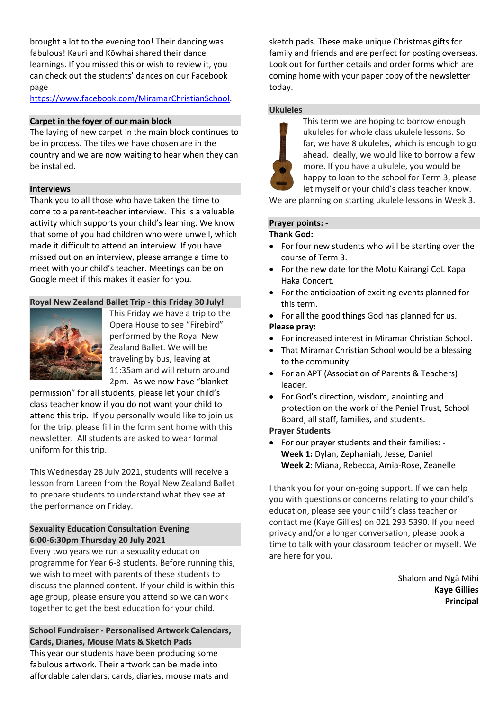brought a lot to the evening too! Their dancing was fabulous! Kauri and Kōwhai shared their dance learnings. If you missed this or wish to review it, you can check out the students' dances on our Facebook page

[https://www.facebook.com/MiramarChristianSchool.](https://www.facebook.com/MiramarChristianSchool)

### **Carpet in the foyer of our main block**

The laying of new carpet in the main block continues to be in process. The tiles we have chosen are in the country and we are now waiting to hear when they can be installed.

### **Interviews**

Thank you to all those who have taken the time to come to a parent-teacher interview. This is a valuable activity which supports your child's learning. We know that some of you had children who were unwell, which made it difficult to attend an interview. If you have missed out on an interview, please arrange a time to meet with your child's teacher. Meetings can be on Google meet if this makes it easier for you.

### **Royal New Zealand Ballet Trip - this Friday 30 July!**



This Friday we have a trip to the Opera House to see "Firebird" performed by the Royal New Zealand Ballet. We will be traveling by bus, leaving at 11:35am and will return around 2pm. As we now have "blanket

permission" for all students, please let your child's class teacher know if you do not want your child to attend this trip. If you personally would like to join us for the trip, please fill in the form sent home with this newsletter. All students are asked to wear formal uniform for this trip.

This Wednesday 28 July 2021, students will receive a lesson from Lareen from the Royal New Zealand Ballet to prepare students to understand what they see at the performance on Friday.

### **Sexuality Education Consultation Evening 6:00-6:30pm Thursday 20 July 2021**

Every two years we run a sexuality education programme for Year 6-8 students. Before running this, we wish to meet with parents of these students to discuss the planned content. If your child is within this age group, please ensure you attend so we can work together to get the best education for your child.

**School Fundraiser - Personalised Artwork Calendars, Cards, Diaries, Mouse Mats & Sketch Pads** This year our students have been producing some fabulous artwork. Their artwork can be made into affordable calendars, cards, diaries, mouse mats and

sketch pads. These make unique Christmas gifts for family and friends and are perfect for posting overseas. Look out for further details and order forms which are coming home with your paper copy of the newsletter today.

### **Ukuleles**



This term we are hoping to borrow enough ukuleles for whole class ukulele lessons. So far, we have 8 ukuleles, which is enough to go ahead. Ideally, we would like to borrow a few more. If you have a ukulele, you would be happy to loan to the school for Term 3, please let myself or your child's class teacher know.

We are planning on starting ukulele lessons in Week 3.

### **Prayer points: -**

### **Thank God:**

- For four new students who will be starting over the course of Term 3.
- For the new date for the Motu Kairangi CoL Kapa Haka Concert.
- For the anticipation of exciting events planned for this term.
- For all the good things God has planned for us. **Please pray:**
- For increased interest in Miramar Christian School.
- That Miramar Christian School would be a blessing to the community.
- For an APT (Association of Parents & Teachers) leader.
- For God's direction, wisdom, anointing and protection on the work of the Peniel Trust, School Board, all staff, families, and students.

### **Prayer Students**

• For our prayer students and their families: - **Week 1:** Dylan, Zephaniah, Jesse, Daniel **Week 2:** Miana, Rebecca, Amia-Rose, Zeanelle

I thank you for your on-going support. If we can help you with questions or concerns relating to your child's education, please see your child's class teacher or contact me (Kaye Gillies) on 021 293 5390. If you need privacy and/or a longer conversation, please book a time to talk with your classroom teacher or myself. We are here for you.

> Shalom and Ngā Mihi **Kaye Gillies Principal**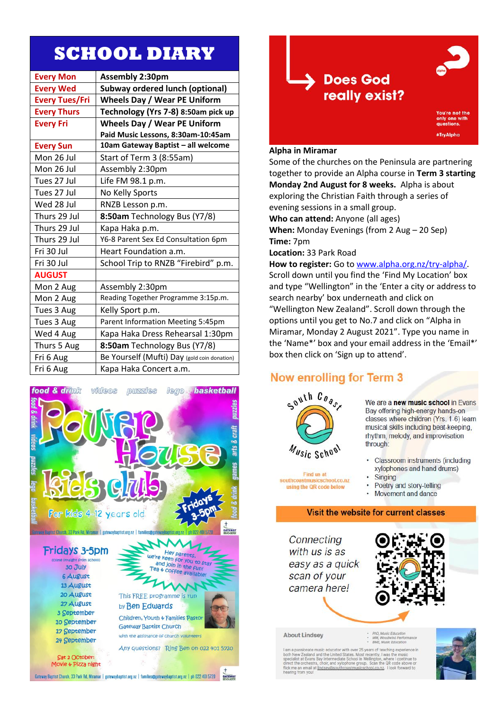# **SCHOOL DIARY**

| <b>Every Mon</b>      | Assembly 2:30pm                              |
|-----------------------|----------------------------------------------|
| <b>Every Wed</b>      | <b>Subway ordered lunch (optional)</b>       |
| <b>Every Tues/Fri</b> | <b>Wheels Day / Wear PE Uniform</b>          |
| <b>Every Thurs</b>    | Technology (Yrs 7-8) 8:50am pick up          |
| <b>Every Fri</b>      | <b>Wheels Day / Wear PE Uniform</b>          |
|                       | Paid Music Lessons, 8:30am-10:45am           |
| <b>Every Sun</b>      | 10am Gateway Baptist - all welcome           |
| Mon 26 Jul            | Start of Term 3 (8:55am)                     |
| Mon 26 Jul            | Assembly 2:30pm                              |
| Tues 27 Jul           | Life FM 98.1 p.m.                            |
| Tues 27 Jul           | No Kelly Sports                              |
| Wed 28 Jul            | RNZB Lesson p.m.                             |
| Thurs 29 Jul          | 8:50am Technology Bus (Y7/8)                 |
| Thurs 29 Jul          | Kapa Haka p.m.                               |
| Thurs 29 Jul          | Y6-8 Parent Sex Ed Consultation 6pm          |
| Fri 30 Jul            | Heart Foundation a.m.                        |
| Fri 30 Jul            | School Trip to RNZB "Firebird" p.m.          |
| <b>AUGUST</b>         |                                              |
| Mon 2 Aug             | Assembly 2:30pm                              |
| Mon 2 Aug             | Reading Together Programme 3:15p.m.          |
| Tues 3 Aug            | Kelly Sport p.m.                             |
| Tues 3 Aug            | Parent Information Meeting 5:45pm            |
| Wed 4 Aug             | Kapa Haka Dress Rehearsal 1:30pm             |
| Thurs 5 Aug           | 8:50am Technology Bus (Y7/8)                 |
| Fri 6 Aug             | Be Yourself (Mufti) Day (gold coin donation) |
| Fri 6 Aug             | Kapa Haka Concert a.m.                       |





### **Alpha in Miramar**

Some of the churches on the Peninsula are partnering together to provide an Alpha course in Term 3 starting Monday 2nd August for 8 weeks. Alpha is about exploring the Christian Faith through a series of evening sessions in a small group. Who can attend: Anyone (all ages) When: Monday Evenings (from 2 Aug - 20 Sep) Time: 7pm Location: 33 Park Road How to register: Go to www.alpha.org.nz/try-alpha/. Scroll down until you find the 'Find My Location' box and type "Wellington" in the 'Enter a city or address to search nearby' box underneath and click on "Wellington New Zealand". Scroll down through the options until you get to No.7 and click on "Alpha in Miramar, Monday 2 August 2021". Type you name in the 'Name\*' box and your email address in the 'Email\*' box then click on 'Sign up to attend'.

### Now enrolling for Term 3



Find us at

using the QR code below

school.co.nz

We are a new music school in Evans Bay offering high-energy hands-on classes where children (Yrs. 1-6) learn musical skills including beat-keeping, rhythm, melody, and improvisation through:

- Classroom instruments (including xylophones and hand drums)
- Singing
- Poetry and story-telling  $\cdot$
- Movement and dance

### Visit the website for current classes

Connecting with us is as easy as a quick scan of your camera here!



**About Lindsey** 

MM, Woodwind Pe

er 25 years of teaching experience in For the WZ realished and the United States. Most recently, I was the music<br>specialist at Evans Bay Intermediate School in Wellington, where I continue to<br>direct the orchestra, choir, and xylophone group. Scan the QR code a flick me an email at lindsev@so<br>hearing from you! sicschool.co.nz. I look forward to